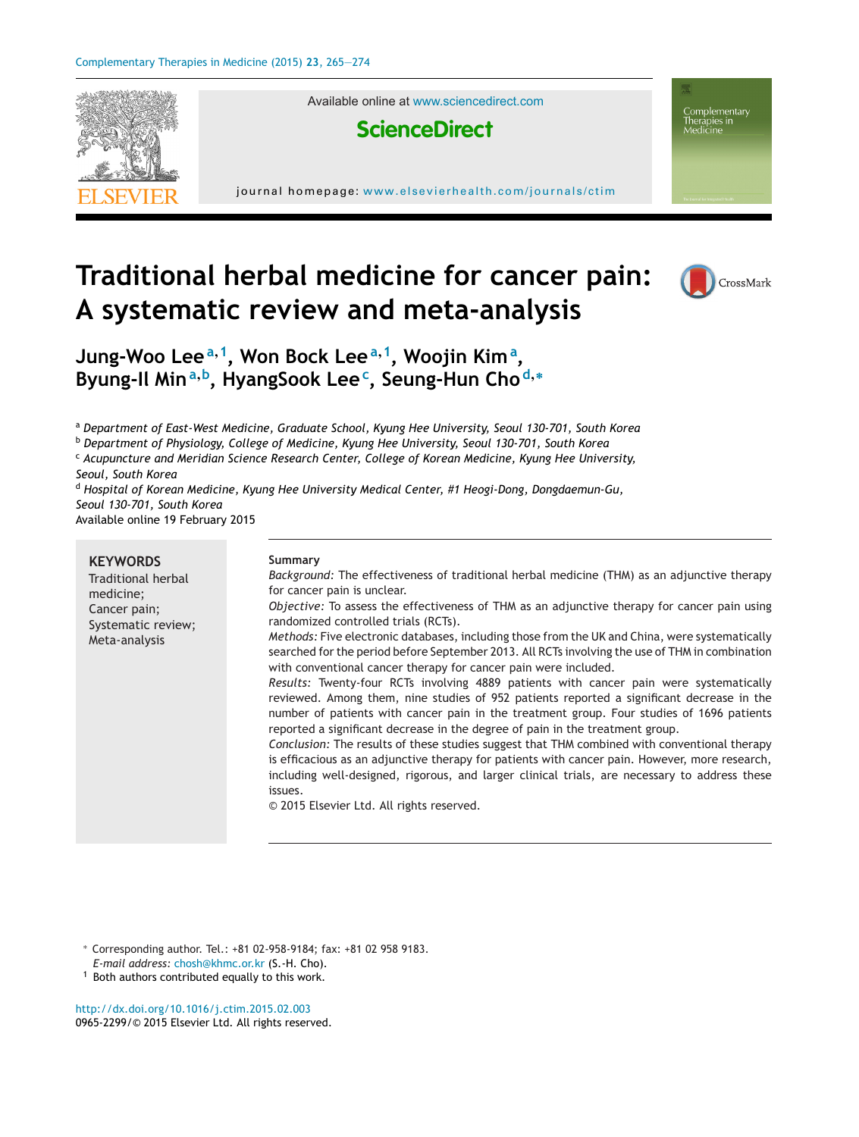

Available online at [www.sciencedirect.com](http://www.sciencedirect.com/science/journal/09652299)



journal homepage: <www.elsevierhealth.com/journals/ctim>



Complementary

# **Traditional herbal medicine for cancer pain: A systematic review and meta-analysis**



**Jung-Woo Lee<sup>a</sup>,1, Won Bock Lee<sup>a</sup>,1, Woojin Kim<sup>a</sup> , Byung-Il Min<sup>a</sup>,b, HyangSook Lee<sup>c</sup> , Seung-Hun Cho <sup>d</sup>,<sup>∗</sup>**

<sup>a</sup> *Department of East-West Medicine, Graduate School, Kyung Hee University, Seoul 130-701, South Korea*

<sup>b</sup> *Department of Physiology, College of Medicine, Kyung Hee University, Seoul 130-701, South Korea*

<sup>c</sup> *Acupuncture and Meridian Science Research Center, College of Korean Medicine, Kyung Hee University,*

*Seoul, South Korea*

<sup>d</sup> *Hospital of Korean Medicine, Kyung Hee University Medical Center, #1 Heogi-Dong, Dongdaemun-Gu, Seoul 130-701, South Korea* Available online 19 February 2015

|--|

∗ Corresponding author. Tel.: +81 02-958-9184; fax: +81 02 958 9183.

*E-mail address:* [chosh@khmc.or.kr](mailto:chosh@khmc.or.kr) (S.-H. Cho).

 $1$  Both authors contributed equally to this work.

[http://dx.doi.org/10.1016/j.ctim.2015.02.003](dx.doi.org/10.1016/j.ctim.2015.02.003) 0965-2299/© 2015 Elsevier Ltd. All rights reserved.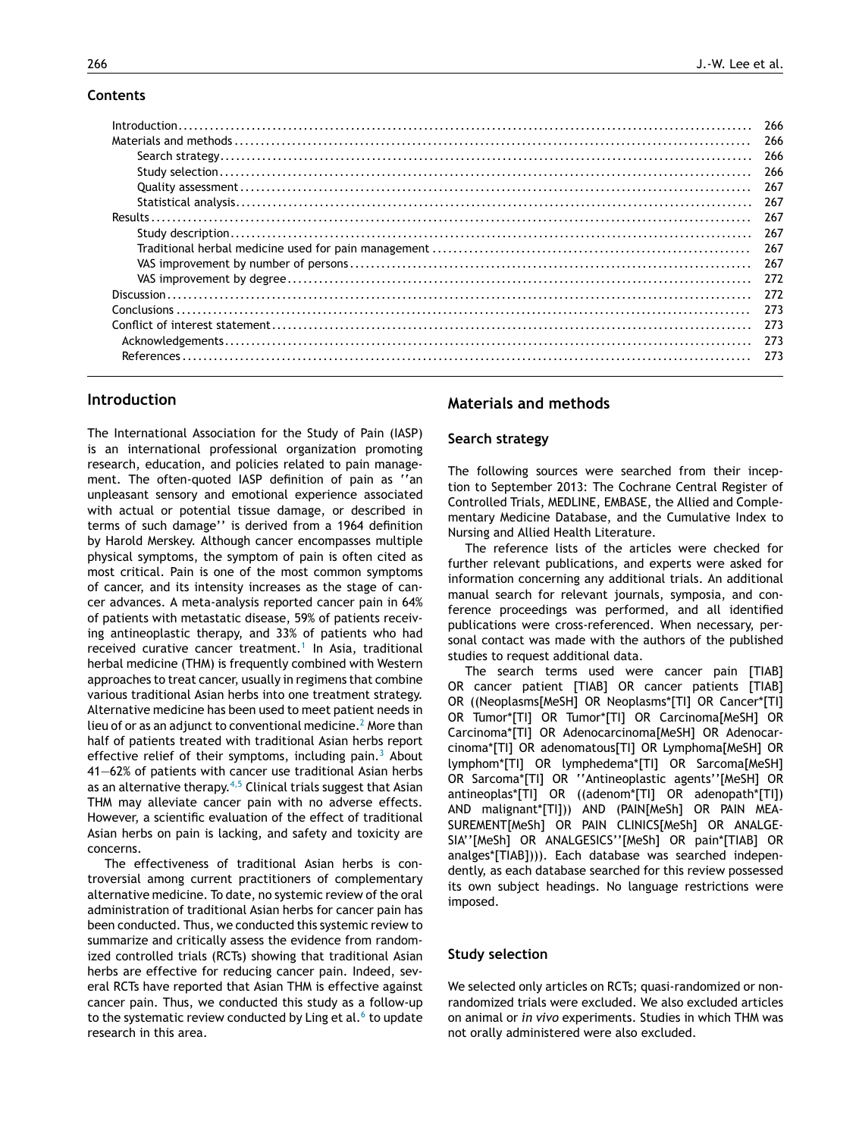## **Contents**

| -266  |
|-------|
| 266   |
| 267   |
| 267   |
| 267   |
| 267   |
| - 267 |
| 267   |
| 272   |
|       |
| 273   |
| - 273 |
|       |
| 273   |
|       |

# **Introduction**

The International Association for the Study of Pain (IASP) is an international professional organization promoting research, education, and policies related to pain management. The often-quoted IASP definition of pain as ''an unpleasant sensory and emotional experience associated with actual or potential tissue damage, or described in terms of such damage'' is derived from a 1964 definition by Harold Merskey. Although cancer encompasses multiple physical symptoms, the symptom of pain is often cited as most critical. Pain is one of the most common symptoms of cancer, and its intensity increases as the stage of cancer advances. A meta-analysis reported cancer pain in 64% of patients with metastatic disease, 59% of patients receiving antineoplastic therapy, and 33% of patients who had received curative cancer treatment.<sup>[1](#page-8-0)</sup> In Asia, traditional herbal medicine (THM) is frequently combined with Western approaches to treat cancer, usually in regimens that combine various traditional Asian herbs into one treatment strategy. Alternative medicine has been used to meet patient needs in lieu of or as an adjunct to conventional medicine.<sup>2</sup> [M](#page-8-0)ore than half of patients treated with traditional Asian herbs report effective relief of their symptoms, including pain.<sup>[3](#page-8-0)</sup> About 41—62% of patients with cancer use traditional Asian herbs as an alternative therapy.<sup>[4,5](#page-8-0)</sup> Clinical trials suggest that Asian THM may alleviate cancer pain with no adverse effects. However, a scientific evaluation of the effect of traditional Asian herbs on pain is lacking, and safety and toxicity are concerns.

The effectiveness of traditional Asian herbs is controversial among current practitioners of complementary alternative medicine. To date, no systemic review of the oral administration of traditional Asian herbs for cancer pain has been conducted. Thus, we conducted this systemic review to summarize and critically assess the evidence from randomized controlled trials (RCTs) showing that traditional Asian herbs are effective for reducing cancer pain. Indeed, several RCTs have reported that Asian THM is effective against cancer pain. Thus, we conducted this study as a follow-up [t](#page-8-0)o the systematic review conducted by Ling et al. $6$  to update research in this area.

# **Materials and methods**

#### **Search strategy**

The following sources were searched from their inception to September 2013: The Cochrane Central Register of Controlled Trials, MEDLINE, EMBASE, the Allied and Complementary Medicine Database, and the Cumulative Index to Nursing and Allied Health Literature.

The reference lists of the articles were checked for further relevant publications, and experts were asked for information concerning any additional trials. An additional manual search for relevant journals, symposia, and conference proceedings was performed, and all identified publications were cross-referenced. When necessary, personal contact was made with the authors of the published studies to request additional data.

The search terms used were cancer pain [TIAB] OR cancer patient [TIAB] OR cancer patients [TIAB] OR ((Neoplasms[MeSH] OR Neoplasms\*[TI] OR Cancer\*[TI] OR Tumor\*[TI] OR Tumor\*[TI] OR Carcinoma[MeSH] OR Carcinoma\*[TI] OR Adenocarcinoma[MeSH] OR Adenocarcinoma\*[TI] OR adenomatous[TI] OR Lymphoma[MeSH] OR lymphom\*[TI] OR lymphedema\*[TI] OR Sarcoma[MeSH] OR Sarcoma\*[TI] OR ''Antineoplastic agents''[MeSH] OR antineoplas\*[TI] OR ((adenom\*[TI] OR adenopath\*[TI]) AND malignant\*[TI])) AND (PAIN[MeSh] OR PAIN MEA-SUREMENT[MeSh] OR PAIN CLINICS[MeSh] OR ANALGE-SIA''[MeSh] OR ANALGESICS''[MeSh] OR pain\*[TIAB] OR analges\*[TIAB]))). Each database was searched independently, as each database searched for this review possessed its own subject headings. No language restrictions were imposed.

#### **Study selection**

We selected only articles on RCTs; quasi-randomized or nonrandomized trials were excluded. We also excluded articles on animal or *in vivo* experiments. Studies in which THM was not orally administered were also excluded.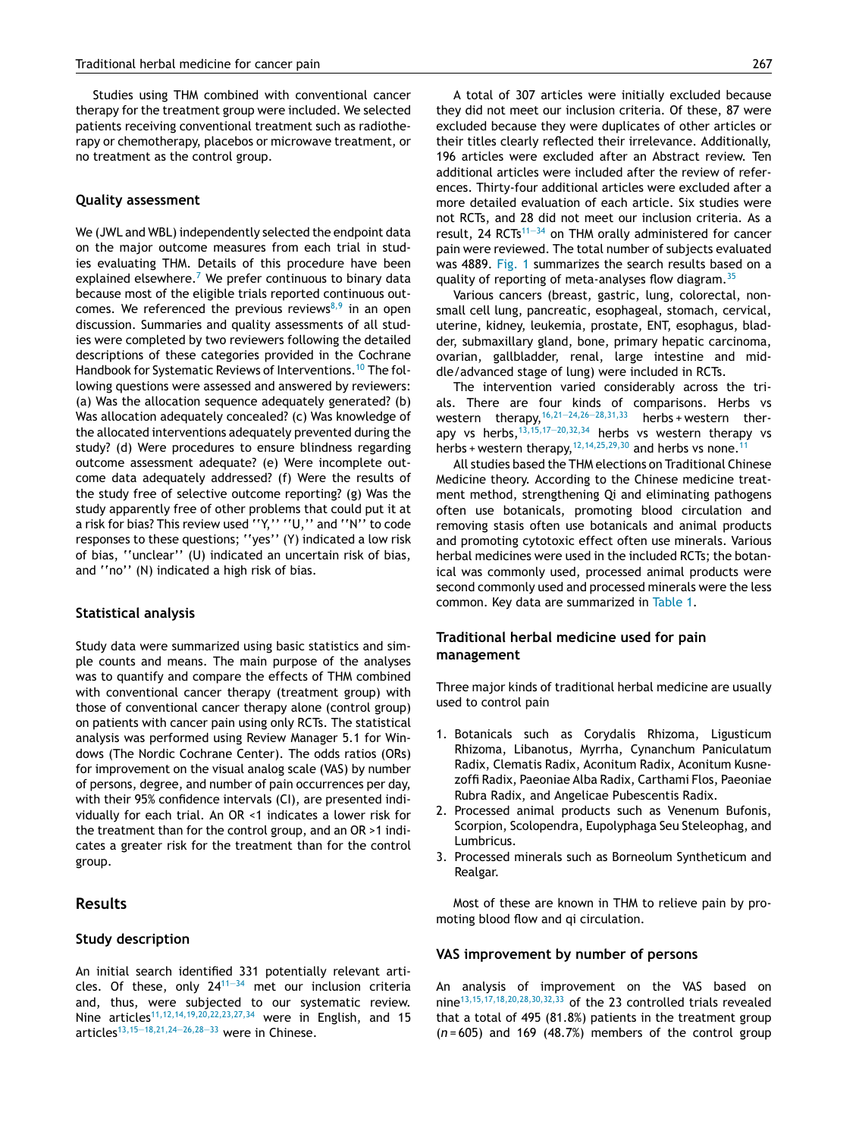Studies using THM combined with conventional cancer therapy for the treatment group were included. We selected patients receiving conventional treatment such as radiotherapy or chemotherapy, placebos or microwave treatment, or no treatment as the control group.

#### **Quality assessment**

We (JWL and WBL) independently selected the endpoint data on the major outcome measures from each trial in studies evaluating THM. Details of this procedure have been explained elsewhere.<sup>[7](#page-8-0)</sup> We prefer continuous to binary data because most of the eligible trials reported continuous outcomes. We referenced the previous reviews $8,9$  in an open discussion. Summaries and quality assessments of all studies were completed by two reviewers following the detailed descriptions of these categories provided in the Cochrane Handbook for Systematic Reviews of Interventions.<sup>[10](#page-8-0)</sup> The following questions were assessed and answered by reviewers: (a) Was the allocation sequence adequately generated? (b) Was allocation adequately concealed? (c) Was knowledge of the allocated interventions adequately prevented during the study? (d) Were procedures to ensure blindness regarding outcome assessment adequate? (e) Were incomplete outcome data adequately addressed? (f) Were the results of the study free of selective outcome reporting? (g) Was the study apparently free of other problems that could put it at a risk for bias? This review used ''Y,'' ''U,'' and ''N'' to code responses to these questions; ''yes'' (Y) indicated a low risk of bias, ''unclear'' (U) indicated an uncertain risk of bias, and ''no'' (N) indicated a high risk of bias.

## **Statistical analysis**

Study data were summarized using basic statistics and simple counts and means. The main purpose of the analyses was to quantify and compare the effects of THM combined with conventional cancer therapy (treatment group) with those of conventional cancer therapy alone (control group) on patients with cancer pain using only RCTs. The statistical analysis was performed using Review Manager 5.1 for Windows (The Nordic Cochrane Center). The odds ratios (ORs) for improvement on the visual analog scale (VAS) by number of persons, degree, and number of pain occurrences per day, with their 95% confidence intervals (CI), are presented individually for each trial. An OR <1 indicates a lower risk for the treatment than for the control group, and an OR >1 indicates a greater risk for the treatment than for the control group.

# **Results**

#### **Study description**

An initial search identified 331 potentially relevant articles. Of these, only  $24^{11-34}$  met our inclusion criteria and, thus, were subjected to our systematic review. Nine articles<sup>[11,12,14,19,20,22,23,27,34](#page-9-0)</sup> were in English, and 15 articles[13,15—18,21,24—26,28—33](#page-9-0) were in Chinese.

A total of 307 articles were initially excluded because they did not meet our inclusion criteria. Of these, 87 were excluded because they were duplicates of other articles or their titles clearly reflected their irrelevance. Additionally, 196 articles were excluded after an Abstract review. Ten additional articles were included after the review of references. Thirty-four additional articles were excluded after a more detailed evaluation of each article. Six studies were not RCTs, and 28 did not meet our inclusion criteria. As a result, 24 RCTs $11-34$  on THM orally administered for cancer pain were reviewed. The total number of subjects evaluated was 4889. [Fig.](#page-7-0) 1 summarizes the search results based on a quality of reporting of meta-analyses flow diagram.[35](#page-9-0)

Various cancers (breast, gastric, lung, colorectal, nonsmall cell lung, pancreatic, esophageal, stomach, cervical, uterine, kidney, leukemia, prostate, ENT, esophagus, bladder, submaxillary gland, bone, primary hepatic carcinoma, ovarian, gallbladder, renal, large intestine and middle/advanced stage of lung) were included in RCTs.

The intervention varied considerably across the trials. There are four kinds of comparisons. Herbs vs western therapy,  $16,21-24,26-28,31,33$  herbs + western therapy vs herbs,  $13,15,17-20,32,34$  herbs vs western therapy vs herbs + western therapy,  $12,14,25,29,30$  and herbs vs none.<sup>[11](#page-9-0)</sup>

All studies based the THM elections on Traditional Chinese Medicine theory. According to the Chinese medicine treatment method, strengthening Qi and eliminating pathogens often use botanicals, promoting blood circulation and removing stasis often use botanicals and animal products and promoting cytotoxic effect often use minerals. Various herbal medicines were used in the included RCTs; the botanical was commonly used, processed animal products were second commonly used and processed minerals were the less common. Key data are summarized in [Table](#page-3-0) 1.

## **Traditional herbal medicine used for pain management**

Three major kinds of traditional herbal medicine are usually used to control pain

- 1. Botanicals such as Corydalis Rhizoma, Ligusticum Rhizoma, Libanotus, Myrrha, Cynanchum Paniculatum Radix, Clematis Radix, Aconitum Radix, Aconitum Kusnezoffi Radix, Paeoniae Alba Radix, Carthami Flos, Paeoniae Rubra Radix, and Angelicae Pubescentis Radix.
- 2. Processed animal products such as Venenum Bufonis, Scorpion, Scolopendra, Eupolyphaga Seu Steleophag, and Lumbricus.
- 3. Processed minerals such as Borneolum Syntheticum and Realgar.

Most of these are known in THM to relieve pain by promoting blood flow and qi circulation.

#### **VAS improvement by number of persons**

An analysis of improvement on the VAS based on nine<sup>[13,15,17,18,20,28,30,32,33](#page-9-0)</sup> of the 23 controlled trials revealed that a total of 495 (81.8%) patients in the treatment group (*n* = 605) and 169 (48.7%) members of the control group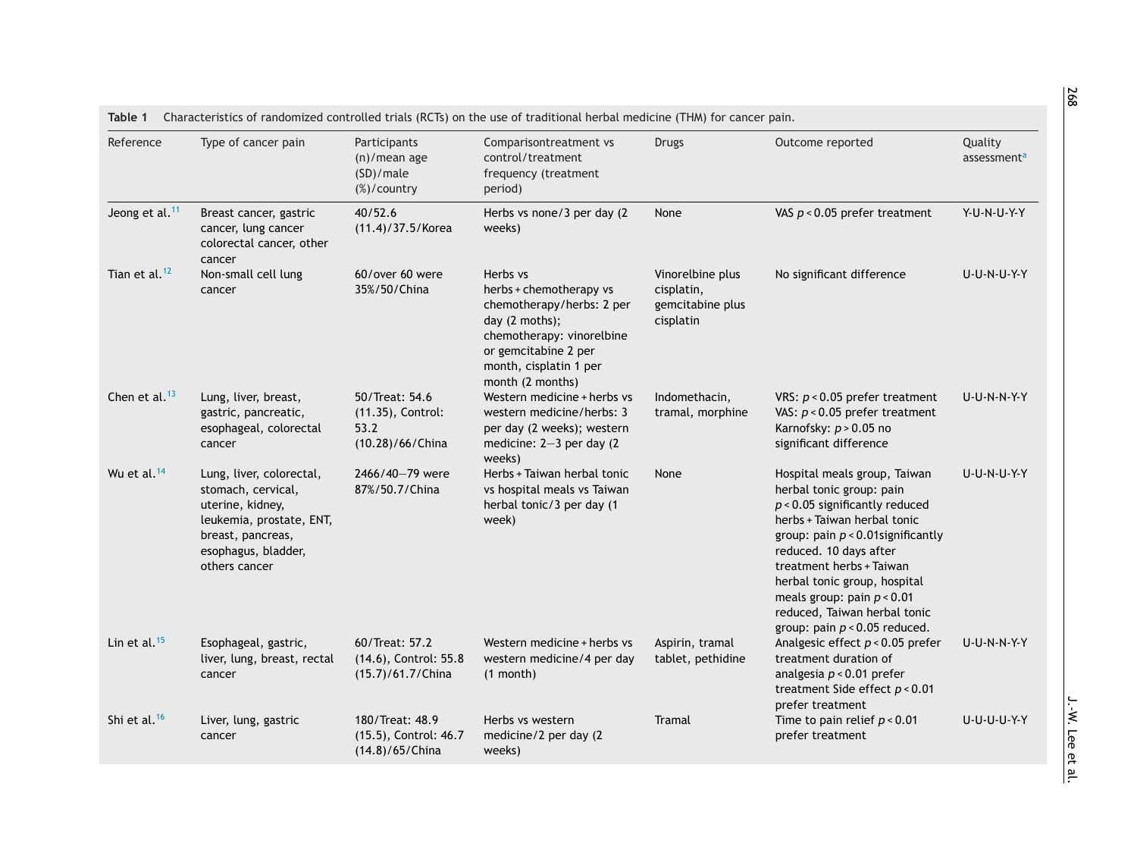<span id="page-3-0"></span>

| Reference                  | Type of cancer pain                                                                                                                                         | Participants<br>$(n)/$ mean age<br>(SD)/male<br>(%)/country     | Comparisontreatment vs<br>control/treatment<br>frequency (treatment<br>period)                                                                                                        | <b>Drugs</b>                                                    | Outcome reported                                                                                                                                                                                                                                                                                                                                             | Quality<br>assessment <sup>a</sup> |  |
|----------------------------|-------------------------------------------------------------------------------------------------------------------------------------------------------------|-----------------------------------------------------------------|---------------------------------------------------------------------------------------------------------------------------------------------------------------------------------------|-----------------------------------------------------------------|--------------------------------------------------------------------------------------------------------------------------------------------------------------------------------------------------------------------------------------------------------------------------------------------------------------------------------------------------------------|------------------------------------|--|
| Jeong et al. <sup>11</sup> | Breast cancer, gastric<br>cancer, lung cancer<br>colorectal cancer, other<br>cancer                                                                         | 40/52.6<br>$(11.4)/37.5/K$ orea                                 | Herbs vs none/3 per day (2)<br>weeks)                                                                                                                                                 | None                                                            | VAS $p < 0.05$ prefer treatment                                                                                                                                                                                                                                                                                                                              | Y-U-N-U-Y-Y                        |  |
| Tian et al. $12$           | Non-small cell lung<br>cancer                                                                                                                               | 60/over 60 were<br>35%/50/China                                 | Herbs vs<br>herbs + chemotherapy vs<br>chemotherapy/herbs: 2 per<br>day (2 moths);<br>chemotherapy: vinorelbine<br>or gemcitabine 2 per<br>month, cisplatin 1 per<br>month (2 months) | Vinorelbine plus<br>cisplatin,<br>gemcitabine plus<br>cisplatin | No significant difference                                                                                                                                                                                                                                                                                                                                    | U-U-N-U-Y-Y                        |  |
| Chen et al. $13$           | Lung, liver, breast,<br>gastric, pancreatic,<br>esophageal, colorectal<br>cancer                                                                            | 50/Treat: 54.6<br>(11.35), Control:<br>53.2<br>(10.28)/66/China | Western medicine + herbs vs<br>western medicine/herbs: 3<br>per day (2 weeks); western<br>medicine: 2-3 per day (2)<br>weeks)                                                         | Indomethacin,<br>tramal, morphine                               | VRS: $p < 0.05$ prefer treatment<br>VAS: $p < 0.05$ prefer treatment<br>Karnofsky: $p > 0.05$ no<br>significant difference                                                                                                                                                                                                                                   | U-U-N-N-Y-Y                        |  |
| Wu et al. <sup>14</sup>    | Lung, liver, colorectal,<br>stomach, cervical,<br>uterine, kidney,<br>leukemia, prostate, ENT,<br>breast, pancreas,<br>esophagus, bladder,<br>others cancer | 2466/40-79 were<br>87%/50.7/China                               | Herbs + Taiwan herbal tonic<br>vs hospital meals vs Taiwan<br>herbal tonic/3 per day (1<br>week)                                                                                      | None                                                            | Hospital meals group, Taiwan<br>herbal tonic group: pain<br>$p$ < 0.05 significantly reduced<br>herbs + Taiwan herbal tonic<br>group: pain $p < 0.01$ significantly<br>reduced. 10 days after<br>treatment herbs + Taiwan<br>herbal tonic group, hospital<br>meals group: pain $p < 0.01$<br>reduced, Taiwan herbal tonic<br>group: pain $p < 0.05$ reduced. | <b>U-U-N-U-Y-Y</b>                 |  |
| Lin et al. $15$            | Esophageal, gastric,<br>liver, lung, breast, rectal<br>cancer                                                                                               | 60/Treat: 57.2<br>(14.6), Control: 55.8<br>(15.7)/61.7/China    | Western medicine + herbs vs<br>western medicine/4 per day<br>$(1$ month)                                                                                                              | Aspirin, tramal<br>tablet, pethidine                            | Analgesic effect $p < 0.05$ prefer<br>treatment duration of<br>analgesia $p < 0.01$ prefer<br>treatment Side effect $p < 0.01$<br>prefer treatment                                                                                                                                                                                                           | <b>U-U-N-N-Y-Y</b>                 |  |
| Shi et al. $16$            | Liver, lung, gastric<br>cancer                                                                                                                              | 180/Treat: 48.9<br>(15.5), Control: 46.7<br>(14.8)/65/China     | Herbs vs western<br>medicine/2 per day (2<br>weeks)                                                                                                                                   | Tramal                                                          | Time to pain relief $p < 0.01$<br>prefer treatment                                                                                                                                                                                                                                                                                                           | U-U-U-U-Y-Y                        |  |

268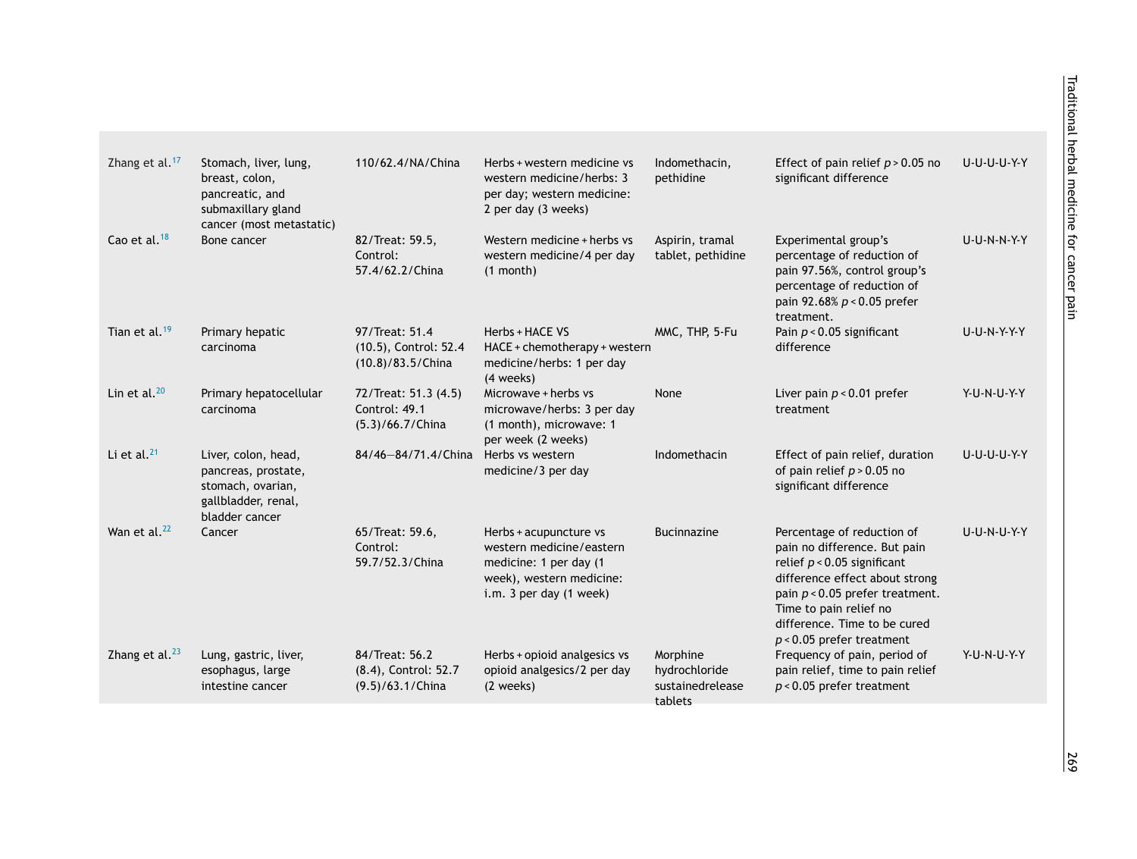| Zhang et al. <sup>17</sup> | Stomach, liver, lung,<br>breast, colon,<br>pancreatic, and<br>submaxillary gland<br>cancer (most metastatic) | 110/62.4/NA/China                                             | Herbs + western medicine vs<br>western medicine/herbs: 3<br>per day; western medicine:<br>2 per day (3 weeks)                       | Indomethacin,<br>pethidine                               | Effect of pain relief $p > 0.05$ no<br>significant difference                                                                                                                                                                                               | U-U-U-U-Y-Y        |
|----------------------------|--------------------------------------------------------------------------------------------------------------|---------------------------------------------------------------|-------------------------------------------------------------------------------------------------------------------------------------|----------------------------------------------------------|-------------------------------------------------------------------------------------------------------------------------------------------------------------------------------------------------------------------------------------------------------------|--------------------|
| Cao et al. <sup>18</sup>   | Bone cancer                                                                                                  | 82/Treat: 59.5,<br>Control:<br>57.4/62.2/China                | Western medicine + herbs vs<br>western medicine/4 per day<br>$(1$ month)                                                            | Aspirin, tramal<br>tablet, pethidine                     | Experimental group's<br>percentage of reduction of<br>pain 97.56%, control group's<br>percentage of reduction of<br>pain 92.68% $p < 0.05$ prefer<br>treatment.                                                                                             | <b>U-U-N-N-Y-Y</b> |
| Tian et al. $19$           | Primary hepatic<br>carcinoma                                                                                 | 97/Treat: 51.4<br>(10.5), Control: 52.4<br>(10.8)/83.5/China  | Herbs + HACE VS<br>HACE + chemotherapy + western<br>medicine/herbs: 1 per day<br>(4 weeks)                                          | MMC, THP, 5-Fu                                           | Pain $p < 0.05$ significant<br>difference                                                                                                                                                                                                                   | <b>U-U-N-Y-Y-Y</b> |
| Lin et al. $^{20}$         | Primary hepatocellular<br>carcinoma                                                                          | 72/Treat: 51.3 (4.5)<br>Control: 49.1<br>(5.3)/66.7/China     | Microwave + herbs vs<br>microwave/herbs: 3 per day<br>(1 month), microwave: 1<br>per week (2 weeks)                                 | None                                                     | Liver pain $p < 0.01$ prefer<br>treatment                                                                                                                                                                                                                   | Y-U-N-U-Y-Y        |
| Li et al. $^{21}$          | Liver, colon, head,<br>pancreas, prostate,<br>stomach, ovarian,<br>gallbladder, renal,<br>bladder cancer     | 84/46-84/71.4/China                                           | Herbs vs western<br>medicine/3 per day                                                                                              | Indomethacin                                             | Effect of pain relief, duration<br>of pain relief $p > 0.05$ no<br>significant difference                                                                                                                                                                   | U-U-U-U-Y-Y        |
| Wan et al. <sup>22</sup>   | Cancer                                                                                                       | 65/Treat: 59.6,<br>Control:<br>59.7/52.3/China                | Herbs + acupuncture vs<br>western medicine/eastern<br>medicine: 1 per day (1<br>week), western medicine:<br>i.m. 3 per day (1 week) | <b>Bucinnazine</b>                                       | Percentage of reduction of<br>pain no difference. But pain<br>relief $p < 0.05$ significant<br>difference effect about strong<br>pain $p < 0.05$ prefer treatment.<br>Time to pain relief no<br>difference. Time to be cured<br>$p < 0.05$ prefer treatment | <b>U-U-N-U-Y-Y</b> |
| Zhang et al. $^{23}$       | Lung, gastric, liver,<br>esophagus, large<br>intestine cancer                                                | 84/Treat: 56.2<br>(8.4), Control: 52.7<br>$(9.5)/63.1$ /China | Herbs + opioid analgesics vs<br>opioid analgesics/2 per day<br>(2 weeks)                                                            | Morphine<br>hydrochloride<br>sustainedrelease<br>tablets | Frequency of pain, period of<br>pain relief, time to pain relief<br>$p < 0.05$ prefer treatment                                                                                                                                                             | Y-U-N-U-Y-Y        |
|                            |                                                                                                              |                                                               |                                                                                                                                     |                                                          |                                                                                                                                                                                                                                                             |                    |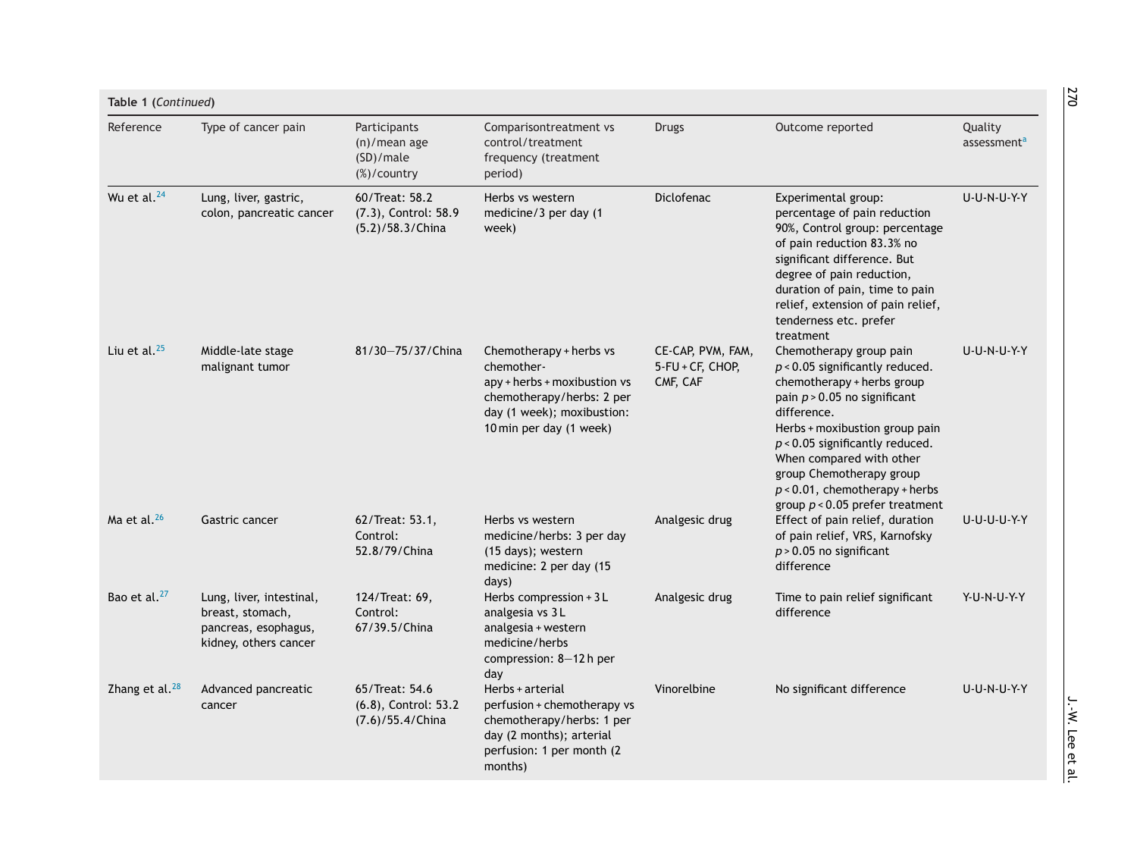| Type of cancer pain                                                                           | Participants<br>$(n)/$ mean age<br>(SD)/male<br>(%)/country | Comparisontreatment vs<br>control/treatment<br>frequency (treatment<br>period)                                                                              | <b>Drugs</b>                                      | Outcome reported                                                                                                                                                                                                                                                                                                | Quality<br>assessment <sup>a</sup> |  |
|-----------------------------------------------------------------------------------------------|-------------------------------------------------------------|-------------------------------------------------------------------------------------------------------------------------------------------------------------|---------------------------------------------------|-----------------------------------------------------------------------------------------------------------------------------------------------------------------------------------------------------------------------------------------------------------------------------------------------------------------|------------------------------------|--|
| Lung, liver, gastric,<br>colon, pancreatic cancer                                             | 60/Treat: 58.2<br>(7.3), Control: 58.9<br>(5.2)/58.3/China  | Herbs vs western<br>medicine/3 per day (1<br>week)                                                                                                          | <b>Diclofenac</b>                                 | Experimental group:<br>percentage of pain reduction<br>90%, Control group: percentage<br>of pain reduction 83.3% no<br>significant difference. But<br>degree of pain reduction,<br>duration of pain, time to pain<br>relief, extension of pain relief,<br>tenderness etc. prefer<br>treatment                   | U-U-N-U-Y-Y                        |  |
| Middle-late stage<br>malignant tumor                                                          | 81/30-75/37/China                                           | Chemotherapy + herbs vs<br>chemother-<br>apy + herbs + moxibustion vs<br>chemotherapy/herbs: 2 per<br>day (1 week); moxibustion:<br>10 min per day (1 week) | CE-CAP, PVM, FAM,<br>5-FU + CF, CHOP,<br>CMF, CAF | Chemotherapy group pain<br>$p$ < 0.05 significantly reduced.<br>chemotherapy + herbs group<br>pain $p > 0.05$ no significant<br>difference.<br>Herbs + moxibustion group pain<br>$p$ < 0.05 significantly reduced.<br>When compared with other<br>group Chemotherapy group<br>$p < 0.01$ , chemotherapy + herbs | U-U-N-U-Y-Y                        |  |
| Gastric cancer                                                                                | 62/Treat: 53.1,<br>Control:<br>52.8/79/China                | Herbs vs western<br>medicine/herbs: 3 per day<br>(15 days); western<br>medicine: 2 per day (15                                                              | Analgesic drug                                    | Effect of pain relief, duration<br>of pain relief, VRS, Karnofsky<br>$p > 0.05$ no significant<br>difference                                                                                                                                                                                                    | U-U-U-U-Y-Y                        |  |
| Lung, liver, intestinal,<br>breast, stomach,<br>pancreas, esophagus,<br>kidney, others cancer | 124/Treat: 69,<br>Control:<br>67/39.5/China                 | Herbs compression + 3 L<br>analgesia vs 3L<br>analgesia + western<br>medicine/herbs<br>compression: 8-12 h per<br>day                                       | Analgesic drug                                    | Time to pain relief significant<br>difference                                                                                                                                                                                                                                                                   | Y-U-N-U-Y-Y                        |  |
| Advanced pancreatic<br>cancer                                                                 | 65/Treat: 54.6<br>(6.8), Control: 53.2<br>(7.6)/55.4/China  | Herbs + arterial<br>perfusion + chemotherapy vs<br>chemotherapy/herbs: 1 per<br>day (2 months); arterial<br>perfusion: 1 per month (2                       | Vinorelbine                                       | No significant difference                                                                                                                                                                                                                                                                                       | U-U-N-U-Y-Y                        |  |
|                                                                                               |                                                             |                                                                                                                                                             | days)                                             |                                                                                                                                                                                                                                                                                                                 | group $p < 0.05$ prefer treatment  |  |

270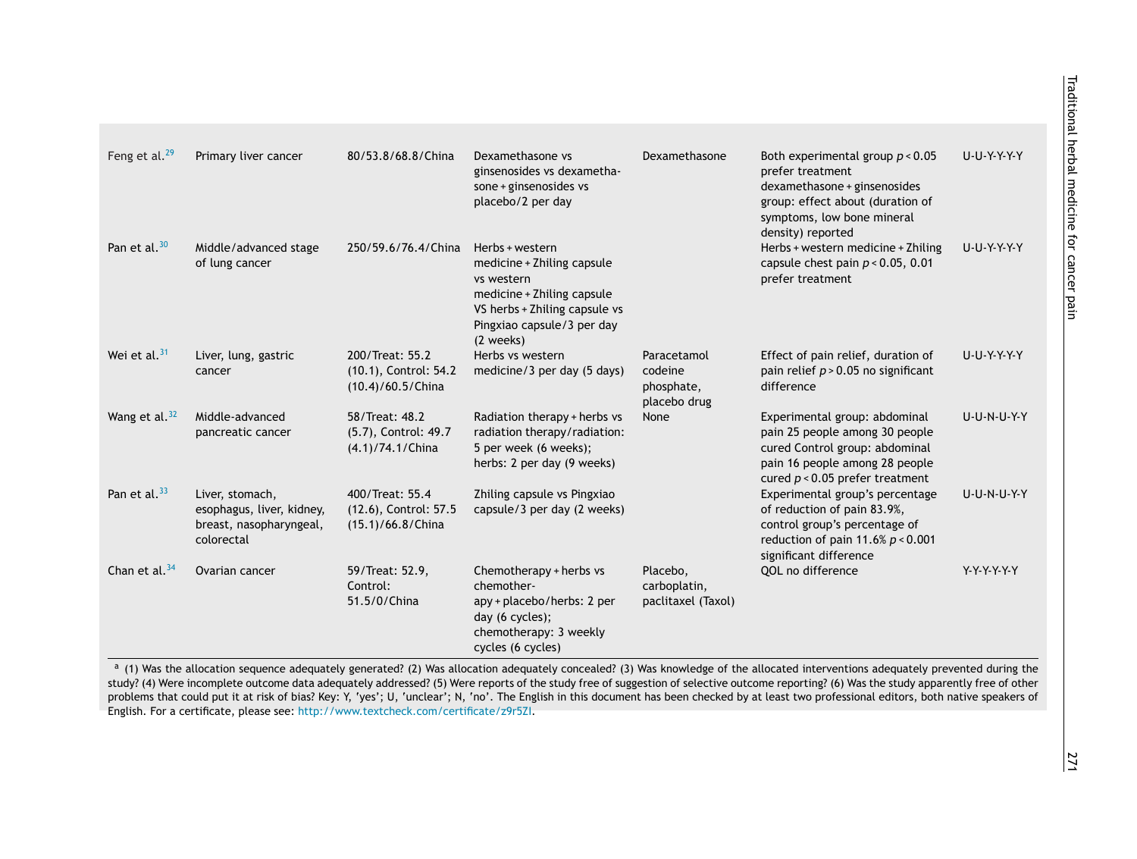<span id="page-6-0"></span>

| Feng et al. <sup>29</sup> | Primary liver cancer                                                                  | 80/53.8/68.8/China                                            | Dexamethasone vs<br>ginsenosides vs dexametha-<br>sone + ginsenosides vs<br>placebo/2 per day                                                                         | Dexamethasone                                        | Both experimental group $p < 0.05$<br>prefer treatment<br>dexamethasone + ginsenosides<br>group: effect about (duration of<br>symptoms, low bone mineral<br>density) reported                                                                                                                                                                                                                                                                                                                                                                                                   | U-U-Y-Y-Y-Y-Y      |
|---------------------------|---------------------------------------------------------------------------------------|---------------------------------------------------------------|-----------------------------------------------------------------------------------------------------------------------------------------------------------------------|------------------------------------------------------|---------------------------------------------------------------------------------------------------------------------------------------------------------------------------------------------------------------------------------------------------------------------------------------------------------------------------------------------------------------------------------------------------------------------------------------------------------------------------------------------------------------------------------------------------------------------------------|--------------------|
| Pan et al. <sup>30</sup>  | Middle/advanced stage<br>of lung cancer                                               | 250/59.6/76.4/China                                           | Herbs + western<br>medicine + Zhiling capsule<br>vs western<br>medicine + Zhiling capsule<br>VS herbs + Zhiling capsule vs<br>Pingxiao capsule/3 per day<br>(2 weeks) |                                                      | Herbs + western medicine + Zhiling<br>capsule chest pain $p < 0.05$ , 0.01<br>prefer treatment                                                                                                                                                                                                                                                                                                                                                                                                                                                                                  | U-U-Y-Y-Y-Y        |
| Wei et al. $31$           | Liver, lung, gastric<br>cancer                                                        | 200/Treat: 55.2<br>(10.1), Control: 54.2<br>(10.4)/60.5/China | Herbs vs western<br>medicine/3 per day (5 days)                                                                                                                       | Paracetamol<br>codeine<br>phosphate,<br>placebo drug | Effect of pain relief, duration of<br>pain relief $p > 0.05$ no significant<br>difference                                                                                                                                                                                                                                                                                                                                                                                                                                                                                       | U-U-Y-Y-Y-Y        |
| Wang et al. $32$          | Middle-advanced<br>pancreatic cancer                                                  | 58/Treat: 48.2<br>(5.7), Control: 49.7<br>(4.1)/74.1/China    | Radiation therapy + herbs vs<br>radiation therapy/radiation:<br>5 per week (6 weeks);<br>herbs: 2 per day (9 weeks)                                                   | <b>None</b>                                          | Experimental group: abdominal<br>pain 25 people among 30 people<br>cured Control group: abdominal<br>pain 16 people among 28 people<br>cured $p < 0.05$ prefer treatment                                                                                                                                                                                                                                                                                                                                                                                                        | <b>U-U-N-U-Y-Y</b> |
| Pan et al. <sup>33</sup>  | Liver, stomach,<br>esophagus, liver, kidney,<br>breast, nasopharyngeal,<br>colorectal | 400/Treat: 55.4<br>(12.6), Control: 57.5<br>(15.1)/66.8/China | Zhiling capsule vs Pingxiao<br>capsule/3 per day (2 weeks)                                                                                                            |                                                      | Experimental group's percentage<br>of reduction of pain 83.9%,<br>control group's percentage of<br>reduction of pain 11.6% $p < 0.001$<br>significant difference                                                                                                                                                                                                                                                                                                                                                                                                                | U-U-N-U-Y-Y        |
| Chan et al. $34$          | Ovarian cancer                                                                        | 59/Treat: 52.9,<br>Control:<br>51.5/0/China                   | Chemotherapy + herbs vs<br>chemother-<br>apy + placebo/herbs: 2 per<br>day (6 cycles);<br>chemotherapy: 3 weekly<br>cycles (6 cycles)                                 | Placebo,<br>carboplatin,<br>paclitaxel (Taxol)       | QOL no difference                                                                                                                                                                                                                                                                                                                                                                                                                                                                                                                                                               | Y-Y-Y-Y-Y-Y        |
|                           | English. For a certificate, please see: http://www.textcheck.com/certificate/z9r5Zl.  |                                                               |                                                                                                                                                                       |                                                      | a (1) Was the allocation sequence adequately generated? (2) Was allocation adequately concealed? (3) Was knowledge of the allocated interventions adequately prevented during the<br>study? (4) Were incomplete outcome data adequately addressed? (5) Were reports of the study free of suggestion of selective outcome reporting? (6) Was the study apparently free of other<br>problems that could put it at risk of bias? Key: Y, 'yes'; U, 'unclear'; N, 'no'. The English in this document has been checked by at least two professional editors, both native speakers of |                    |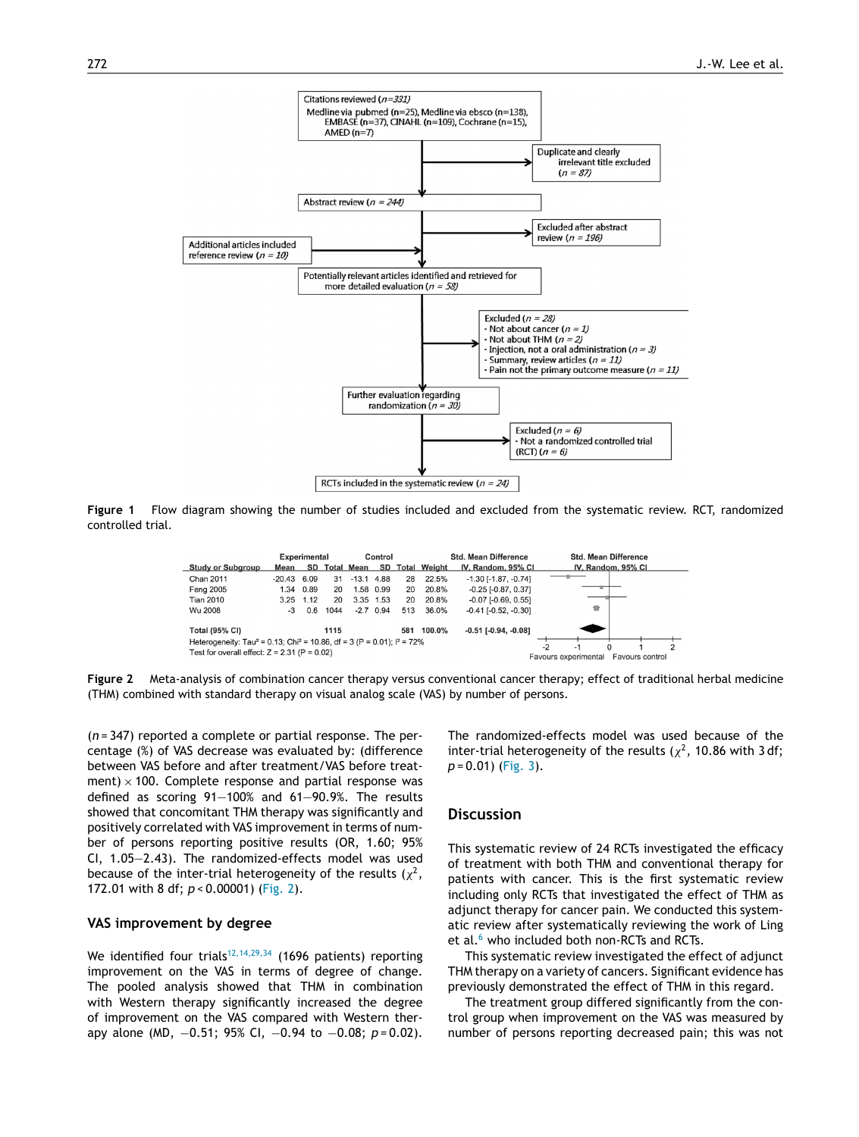<span id="page-7-0"></span>

**Figure 1** Flow diagram showing the number of studies included and excluded from the systematic review. RCT, randomized controlled trial.

|                                                                                                  |               | <b>Experimental</b> |      | Control           |             |     | <b>Std. Mean Difference</b> |                               | <b>Std. Mean Difference</b> |                            |  |                    |   |
|--------------------------------------------------------------------------------------------------|---------------|---------------------|------|-------------------|-------------|-----|-----------------------------|-------------------------------|-----------------------------|----------------------------|--|--------------------|---|
| <b>Study or Subgroup</b>                                                                         | Mean          | SD                  |      | <b>Total Mean</b> | SD          |     | <b>Total Weight</b>         | IV, Random, 95% CI            |                             |                            |  | IV, Random, 95% CI |   |
| Chan 2011                                                                                        | $-20.43$ 6.09 |                     | 31   | $-13.1$           | 4.88        | 28  | 22.5%                       | $-1.30$ [ $-1.87$ , $-0.74$ ] |                             |                            |  |                    |   |
| Feng 2005                                                                                        | 1.34          | 0.89                | 20   | 1.58              | 0.99        | 20  | 20.8%                       | $-0.25$ [ $-0.87, 0.37$ ]     |                             |                            |  |                    |   |
| <b>Tian 2010</b>                                                                                 | 3.25          | 1.12                | 20   |                   | 3.35 1.53   | 20  | 20.8%                       | $-0.07$ $[-0.69, 0.55]$       |                             |                            |  |                    |   |
| Wu 2008                                                                                          | -3            | 0.6                 | 1044 |                   | $-2.7$ 0.94 | 513 | 36.0%                       | $-0.41$ [ $-0.52$ , $-0.30$ ] |                             | 責                          |  |                    |   |
| <b>Total (95% CI)</b>                                                                            |               |                     | 1115 |                   |             | 581 | 100.0%                      | $-0.51$ $[-0.94, -0.08]$      |                             |                            |  |                    |   |
| Heterogeneity: Tau <sup>2</sup> = 0.13; Chi <sup>2</sup> = 10.86, df = 3 (P = 0.01); $I^2$ = 72% |               |                     |      |                   |             |     |                             |                               | $-2$                        |                            |  |                    | ົ |
| Test for overall effect: $Z = 2.31$ (P = 0.02)                                                   |               |                     |      |                   |             |     |                             |                               |                             | -1<br>Favours experimental |  | Favours control    |   |

**Figure 2** Meta-analysis of combination cancer therapy versus conventional cancer therapy; effect of traditional herbal medicine (THM) combined with standard therapy on visual analog scale (VAS) by number of persons.

(*n* = 347) reported a complete or partial response. The percentage (%) of VAS decrease was evaluated by: (difference between VAS before and after treatment/VAS before treatment)  $\times$  100. Complete response and partial response was defined as scoring 91—100% and 61—90.9%. The results showed that concomitant THM therapy was significantly and positively correlated with VAS improvement in terms of number of persons reporting positive results (OR, 1.60; 95% CI, 1.05—2.43). The randomized-effects model was used because of the inter-trial heterogeneity of the results ( $\chi^2$ , 172.01 with 8 df; *p* < 0.00001) (Fig. 2).

## **VAS improvement by degree**

We identified four trials<sup>[12,14,29,34](#page-9-0)</sup> (1696 patients) reporting improvement on the VAS in terms of degree of change. The pooled analysis showed that THM in combination with Western therapy significantly increased the degree of improvement on the VAS compared with Western therapy alone (MD, −0.51; 95% CI, −0.94 to −0.08; *p* = 0.02).

The randomized-effects model was used because of the inter-trial heterogeneity of the results ( $\chi^2$ , 10.86 with 3 df; *p* = 0.01) [\(Fig.](#page-8-0) 3).

# **Discussion**

This systematic review of 24 RCTs investigated the efficacy of treatment with both THM and conventional therapy for patients with cancer. This is the first systematic review including only RCTs that investigated the effect of THM as adjunct therapy for cancer pain. We conducted this systematic review after systematically reviewing the work of Ling et al.<sup>[6](#page-8-0)</sup> who included both non-RCTs and RCTs.

This systematic review investigated the effect of adjunct THM therapy on a variety of cancers. Significant evidence has previously demonstrated the effect of THM in this regard.

The treatment group differed significantly from the control group when improvement on the VAS was measured by number of persons reporting decreased pain; this was not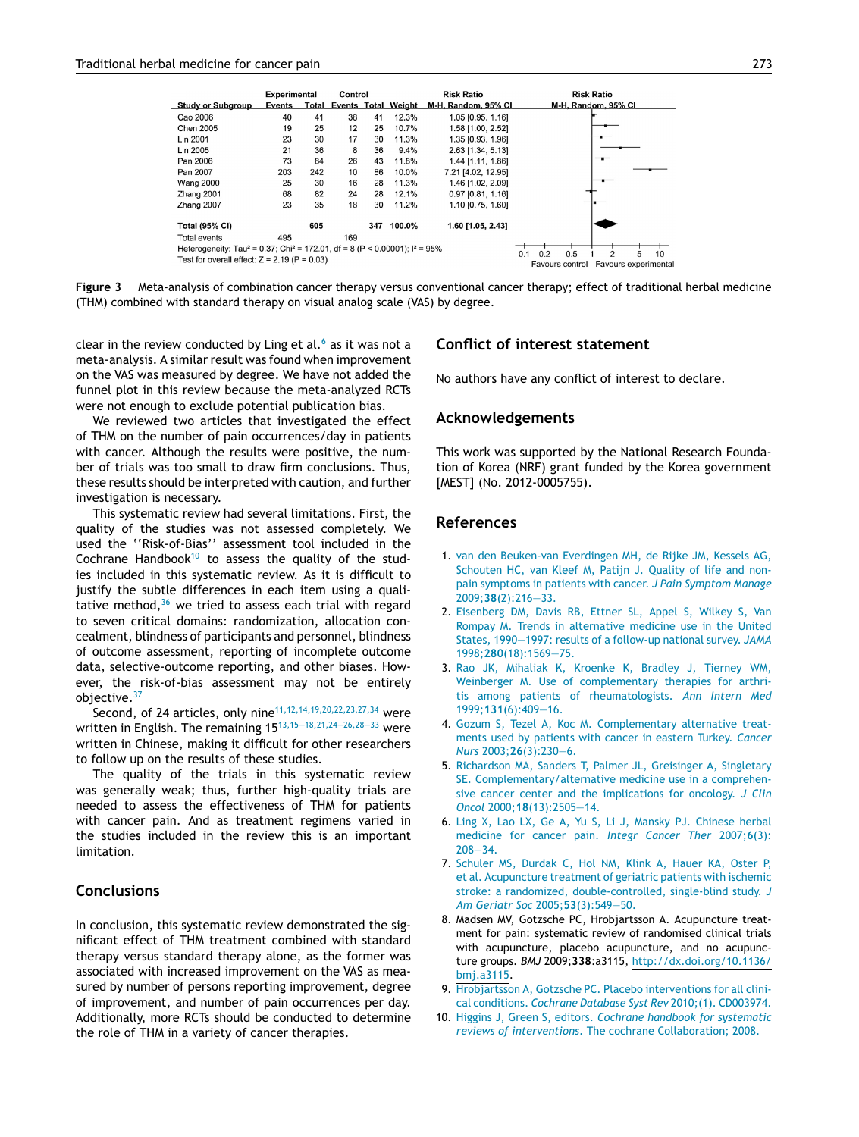<span id="page-8-0"></span>

**Figure 3** Meta-analysis of combination cancer therapy versus conventional cancer therapy; effect of traditional herbal medicine (THM) combined with standard therapy on visual analog scale (VAS) by degree.

clear in the review conducted by Ling et al. $6$  as it was not a meta-analysis. A similar result was found when improvement on the VAS was measured by degree. We have not added the funnel plot in this review because the meta-analyzed RCTs were not enough to exclude potential publication bias.

We reviewed two articles that investigated the effect of THM on the number of pain occurrences/day in patients with cancer. Although the results were positive, the number of trials was too small to draw firm conclusions. Thus, these results should be interpreted with caution, and further investigation is necessary.

This systematic review had several limitations. First, the quality of the studies was not assessed completely. We used the ''Risk-of-Bias'' assessment tool included in the Cochrane Handbook<sup>10</sup> to assess the quality of the studies included in this systematic review. As it is difficult to justify the subtle differences in each item using a qualitative method, $36$  we tried to assess each trial with regard to seven critical domains: randomization, allocation concealment, blindness of participants and personnel, blindness of outcome assessment, reporting of incomplete outcome data, selective-outcome reporting, and other biases. However, the risk-of-bias assessment may not be entirely objective.[37](#page-9-0)

Second, of 24 articles, only nine<sup>[11,12,14,19,20,22,23,27,34](#page-9-0)</sup> were written in English. The remaining 15<sup>13,15–18,21,24–26,28–33</sup> were written in Chinese, making it difficult for other researchers to follow up on the results of these studies.

The quality of the trials in this systematic review was generally weak; thus, further high-quality trials are needed to assess the effectiveness of THM for patients with cancer pain. And as treatment regimens varied in the studies included in the review this is an important limitation.

# **Conclusions**

In conclusion, this systematic review demonstrated the significant effect of THM treatment combined with standard therapy versus standard therapy alone, as the former was associated with increased improvement on the VAS as measured by number of persons reporting improvement, degree of improvement, and number of pain occurrences per day. Additionally, more RCTs should be conducted to determine the role of THM in a variety of cancer therapies.

# **Conflict of interest statement**

No authors have any conflict of interest to declare.

## **Acknowledgements**

This work was supported by the National Research Foundation of Korea (NRF) grant funded by the Korea government [MEST] (No. 2012-0005755).

# **References**

- 1. [van](http://refhub.elsevier.com/S0965-2299(15)00032-1/sbref0190) [den](http://refhub.elsevier.com/S0965-2299(15)00032-1/sbref0190) [Beuken-van](http://refhub.elsevier.com/S0965-2299(15)00032-1/sbref0190) [Everdingen](http://refhub.elsevier.com/S0965-2299(15)00032-1/sbref0190) [MH,](http://refhub.elsevier.com/S0965-2299(15)00032-1/sbref0190) [de](http://refhub.elsevier.com/S0965-2299(15)00032-1/sbref0190) [Rijke](http://refhub.elsevier.com/S0965-2299(15)00032-1/sbref0190) [JM,](http://refhub.elsevier.com/S0965-2299(15)00032-1/sbref0190) [Kessels](http://refhub.elsevier.com/S0965-2299(15)00032-1/sbref0190) [AG,](http://refhub.elsevier.com/S0965-2299(15)00032-1/sbref0190) [Schouten](http://refhub.elsevier.com/S0965-2299(15)00032-1/sbref0190) [HC,](http://refhub.elsevier.com/S0965-2299(15)00032-1/sbref0190) [van](http://refhub.elsevier.com/S0965-2299(15)00032-1/sbref0190) [Kleef](http://refhub.elsevier.com/S0965-2299(15)00032-1/sbref0190) [M,](http://refhub.elsevier.com/S0965-2299(15)00032-1/sbref0190) [Patijn](http://refhub.elsevier.com/S0965-2299(15)00032-1/sbref0190) [J.](http://refhub.elsevier.com/S0965-2299(15)00032-1/sbref0190) [Quality](http://refhub.elsevier.com/S0965-2299(15)00032-1/sbref0190) [of](http://refhub.elsevier.com/S0965-2299(15)00032-1/sbref0190) [life](http://refhub.elsevier.com/S0965-2299(15)00032-1/sbref0190) [and](http://refhub.elsevier.com/S0965-2299(15)00032-1/sbref0190) [non](http://refhub.elsevier.com/S0965-2299(15)00032-1/sbref0190)[pain](http://refhub.elsevier.com/S0965-2299(15)00032-1/sbref0190) [symptoms](http://refhub.elsevier.com/S0965-2299(15)00032-1/sbref0190) [in](http://refhub.elsevier.com/S0965-2299(15)00032-1/sbref0190) [patients](http://refhub.elsevier.com/S0965-2299(15)00032-1/sbref0190) [with](http://refhub.elsevier.com/S0965-2299(15)00032-1/sbref0190) [cancer.](http://refhub.elsevier.com/S0965-2299(15)00032-1/sbref0190) *[J](http://refhub.elsevier.com/S0965-2299(15)00032-1/sbref0190) [Pain](http://refhub.elsevier.com/S0965-2299(15)00032-1/sbref0190) [Symptom](http://refhub.elsevier.com/S0965-2299(15)00032-1/sbref0190) [Manage](http://refhub.elsevier.com/S0965-2299(15)00032-1/sbref0190)* [2009;](http://refhub.elsevier.com/S0965-2299(15)00032-1/sbref0190)**[38](http://refhub.elsevier.com/S0965-2299(15)00032-1/sbref0190)**[\(2\):216](http://refhub.elsevier.com/S0965-2299(15)00032-1/sbref0190)—[33.](http://refhub.elsevier.com/S0965-2299(15)00032-1/sbref0190)
- 2. [Eisenberg](http://refhub.elsevier.com/S0965-2299(15)00032-1/sbref0195) [DM,](http://refhub.elsevier.com/S0965-2299(15)00032-1/sbref0195) [Davis](http://refhub.elsevier.com/S0965-2299(15)00032-1/sbref0195) [RB,](http://refhub.elsevier.com/S0965-2299(15)00032-1/sbref0195) [Ettner](http://refhub.elsevier.com/S0965-2299(15)00032-1/sbref0195) [SL,](http://refhub.elsevier.com/S0965-2299(15)00032-1/sbref0195) [Appel](http://refhub.elsevier.com/S0965-2299(15)00032-1/sbref0195) [S,](http://refhub.elsevier.com/S0965-2299(15)00032-1/sbref0195) [Wilkey](http://refhub.elsevier.com/S0965-2299(15)00032-1/sbref0195) [S,](http://refhub.elsevier.com/S0965-2299(15)00032-1/sbref0195) [Van](http://refhub.elsevier.com/S0965-2299(15)00032-1/sbref0195) [Rompay](http://refhub.elsevier.com/S0965-2299(15)00032-1/sbref0195) [M.](http://refhub.elsevier.com/S0965-2299(15)00032-1/sbref0195) [Trends](http://refhub.elsevier.com/S0965-2299(15)00032-1/sbref0195) [in](http://refhub.elsevier.com/S0965-2299(15)00032-1/sbref0195) [alternative](http://refhub.elsevier.com/S0965-2299(15)00032-1/sbref0195) [medicine](http://refhub.elsevier.com/S0965-2299(15)00032-1/sbref0195) [use](http://refhub.elsevier.com/S0965-2299(15)00032-1/sbref0195) [in](http://refhub.elsevier.com/S0965-2299(15)00032-1/sbref0195) [the](http://refhub.elsevier.com/S0965-2299(15)00032-1/sbref0195) [United](http://refhub.elsevier.com/S0965-2299(15)00032-1/sbref0195) [States,](http://refhub.elsevier.com/S0965-2299(15)00032-1/sbref0195) [1990—1997:](http://refhub.elsevier.com/S0965-2299(15)00032-1/sbref0195) [results](http://refhub.elsevier.com/S0965-2299(15)00032-1/sbref0195) [of](http://refhub.elsevier.com/S0965-2299(15)00032-1/sbref0195) [a](http://refhub.elsevier.com/S0965-2299(15)00032-1/sbref0195) [follow-up](http://refhub.elsevier.com/S0965-2299(15)00032-1/sbref0195) [national](http://refhub.elsevier.com/S0965-2299(15)00032-1/sbref0195) [survey.](http://refhub.elsevier.com/S0965-2299(15)00032-1/sbref0195) *[JAMA](http://refhub.elsevier.com/S0965-2299(15)00032-1/sbref0195)* [1998;](http://refhub.elsevier.com/S0965-2299(15)00032-1/sbref0195)**[280](http://refhub.elsevier.com/S0965-2299(15)00032-1/sbref0195)**[\(18\):1569—75.](http://refhub.elsevier.com/S0965-2299(15)00032-1/sbref0195)
- 3. [Rao](http://refhub.elsevier.com/S0965-2299(15)00032-1/sbref0200) [JK,](http://refhub.elsevier.com/S0965-2299(15)00032-1/sbref0200) [Mihaliak](http://refhub.elsevier.com/S0965-2299(15)00032-1/sbref0200) [K,](http://refhub.elsevier.com/S0965-2299(15)00032-1/sbref0200) [Kroenke](http://refhub.elsevier.com/S0965-2299(15)00032-1/sbref0200) [K,](http://refhub.elsevier.com/S0965-2299(15)00032-1/sbref0200) [Bradley](http://refhub.elsevier.com/S0965-2299(15)00032-1/sbref0200) [J,](http://refhub.elsevier.com/S0965-2299(15)00032-1/sbref0200) [Tierney](http://refhub.elsevier.com/S0965-2299(15)00032-1/sbref0200) [WM,](http://refhub.elsevier.com/S0965-2299(15)00032-1/sbref0200) [Weinberger](http://refhub.elsevier.com/S0965-2299(15)00032-1/sbref0200) [M.](http://refhub.elsevier.com/S0965-2299(15)00032-1/sbref0200) [Use](http://refhub.elsevier.com/S0965-2299(15)00032-1/sbref0200) [of](http://refhub.elsevier.com/S0965-2299(15)00032-1/sbref0200) [complementary](http://refhub.elsevier.com/S0965-2299(15)00032-1/sbref0200) [therapies](http://refhub.elsevier.com/S0965-2299(15)00032-1/sbref0200) [for](http://refhub.elsevier.com/S0965-2299(15)00032-1/sbref0200) [arthri](http://refhub.elsevier.com/S0965-2299(15)00032-1/sbref0200)[tis](http://refhub.elsevier.com/S0965-2299(15)00032-1/sbref0200) [among](http://refhub.elsevier.com/S0965-2299(15)00032-1/sbref0200) [patients](http://refhub.elsevier.com/S0965-2299(15)00032-1/sbref0200) [of](http://refhub.elsevier.com/S0965-2299(15)00032-1/sbref0200) [rheumatologists.](http://refhub.elsevier.com/S0965-2299(15)00032-1/sbref0200) *[Ann](http://refhub.elsevier.com/S0965-2299(15)00032-1/sbref0200) [Intern](http://refhub.elsevier.com/S0965-2299(15)00032-1/sbref0200) [Med](http://refhub.elsevier.com/S0965-2299(15)00032-1/sbref0200)* [1999;](http://refhub.elsevier.com/S0965-2299(15)00032-1/sbref0200)**[131](http://refhub.elsevier.com/S0965-2299(15)00032-1/sbref0200)**[\(6\):409—16.](http://refhub.elsevier.com/S0965-2299(15)00032-1/sbref0200)
- 4. [Gozum](http://refhub.elsevier.com/S0965-2299(15)00032-1/sbref0205) [S,](http://refhub.elsevier.com/S0965-2299(15)00032-1/sbref0205) [Tezel](http://refhub.elsevier.com/S0965-2299(15)00032-1/sbref0205) [A,](http://refhub.elsevier.com/S0965-2299(15)00032-1/sbref0205) [Koc](http://refhub.elsevier.com/S0965-2299(15)00032-1/sbref0205) [M.](http://refhub.elsevier.com/S0965-2299(15)00032-1/sbref0205) [Complementary](http://refhub.elsevier.com/S0965-2299(15)00032-1/sbref0205) [alternative](http://refhub.elsevier.com/S0965-2299(15)00032-1/sbref0205) [treat](http://refhub.elsevier.com/S0965-2299(15)00032-1/sbref0205)[ments](http://refhub.elsevier.com/S0965-2299(15)00032-1/sbref0205) [used](http://refhub.elsevier.com/S0965-2299(15)00032-1/sbref0205) [by](http://refhub.elsevier.com/S0965-2299(15)00032-1/sbref0205) [patients](http://refhub.elsevier.com/S0965-2299(15)00032-1/sbref0205) [with](http://refhub.elsevier.com/S0965-2299(15)00032-1/sbref0205) [cancer](http://refhub.elsevier.com/S0965-2299(15)00032-1/sbref0205) [in](http://refhub.elsevier.com/S0965-2299(15)00032-1/sbref0205) [eastern](http://refhub.elsevier.com/S0965-2299(15)00032-1/sbref0205) [Turkey.](http://refhub.elsevier.com/S0965-2299(15)00032-1/sbref0205) *[Cancer](http://refhub.elsevier.com/S0965-2299(15)00032-1/sbref0205) [Nurs](http://refhub.elsevier.com/S0965-2299(15)00032-1/sbref0205)* [2003;](http://refhub.elsevier.com/S0965-2299(15)00032-1/sbref0205)**[26](http://refhub.elsevier.com/S0965-2299(15)00032-1/sbref0205)**[\(3\):230—6.](http://refhub.elsevier.com/S0965-2299(15)00032-1/sbref0205)
- 5. [Richardson](http://refhub.elsevier.com/S0965-2299(15)00032-1/sbref0210) [MA,](http://refhub.elsevier.com/S0965-2299(15)00032-1/sbref0210) [Sanders](http://refhub.elsevier.com/S0965-2299(15)00032-1/sbref0210) [T,](http://refhub.elsevier.com/S0965-2299(15)00032-1/sbref0210) [Palmer](http://refhub.elsevier.com/S0965-2299(15)00032-1/sbref0210) [JL,](http://refhub.elsevier.com/S0965-2299(15)00032-1/sbref0210) [Greisinger](http://refhub.elsevier.com/S0965-2299(15)00032-1/sbref0210) [A,](http://refhub.elsevier.com/S0965-2299(15)00032-1/sbref0210) [Singletary](http://refhub.elsevier.com/S0965-2299(15)00032-1/sbref0210) [SE.](http://refhub.elsevier.com/S0965-2299(15)00032-1/sbref0210) [Complementary/alternative](http://refhub.elsevier.com/S0965-2299(15)00032-1/sbref0210) [medicine](http://refhub.elsevier.com/S0965-2299(15)00032-1/sbref0210) [use](http://refhub.elsevier.com/S0965-2299(15)00032-1/sbref0210) [in](http://refhub.elsevier.com/S0965-2299(15)00032-1/sbref0210) [a](http://refhub.elsevier.com/S0965-2299(15)00032-1/sbref0210) [comprehen](http://refhub.elsevier.com/S0965-2299(15)00032-1/sbref0210)[sive](http://refhub.elsevier.com/S0965-2299(15)00032-1/sbref0210) [cancer](http://refhub.elsevier.com/S0965-2299(15)00032-1/sbref0210) [center](http://refhub.elsevier.com/S0965-2299(15)00032-1/sbref0210) [and](http://refhub.elsevier.com/S0965-2299(15)00032-1/sbref0210) [the](http://refhub.elsevier.com/S0965-2299(15)00032-1/sbref0210) [implications](http://refhub.elsevier.com/S0965-2299(15)00032-1/sbref0210) [for](http://refhub.elsevier.com/S0965-2299(15)00032-1/sbref0210) [oncology.](http://refhub.elsevier.com/S0965-2299(15)00032-1/sbref0210) *[J](http://refhub.elsevier.com/S0965-2299(15)00032-1/sbref0210) [Clin](http://refhub.elsevier.com/S0965-2299(15)00032-1/sbref0210) [Oncol](http://refhub.elsevier.com/S0965-2299(15)00032-1/sbref0210)* [2000;](http://refhub.elsevier.com/S0965-2299(15)00032-1/sbref0210)**[18](http://refhub.elsevier.com/S0965-2299(15)00032-1/sbref0210)**[\(13\):2505](http://refhub.elsevier.com/S0965-2299(15)00032-1/sbref0210)—[14.](http://refhub.elsevier.com/S0965-2299(15)00032-1/sbref0210)
- 6. [Ling](http://refhub.elsevier.com/S0965-2299(15)00032-1/sbref0215) [X,](http://refhub.elsevier.com/S0965-2299(15)00032-1/sbref0215) [Lao](http://refhub.elsevier.com/S0965-2299(15)00032-1/sbref0215) [LX,](http://refhub.elsevier.com/S0965-2299(15)00032-1/sbref0215) [Ge](http://refhub.elsevier.com/S0965-2299(15)00032-1/sbref0215) [A,](http://refhub.elsevier.com/S0965-2299(15)00032-1/sbref0215) [Yu](http://refhub.elsevier.com/S0965-2299(15)00032-1/sbref0215) [S,](http://refhub.elsevier.com/S0965-2299(15)00032-1/sbref0215) [Li](http://refhub.elsevier.com/S0965-2299(15)00032-1/sbref0215) [J,](http://refhub.elsevier.com/S0965-2299(15)00032-1/sbref0215) [Mansky](http://refhub.elsevier.com/S0965-2299(15)00032-1/sbref0215) [PJ.](http://refhub.elsevier.com/S0965-2299(15)00032-1/sbref0215) [Chinese](http://refhub.elsevier.com/S0965-2299(15)00032-1/sbref0215) [herbal](http://refhub.elsevier.com/S0965-2299(15)00032-1/sbref0215) [medicine](http://refhub.elsevier.com/S0965-2299(15)00032-1/sbref0215) [for](http://refhub.elsevier.com/S0965-2299(15)00032-1/sbref0215) [cancer](http://refhub.elsevier.com/S0965-2299(15)00032-1/sbref0215) [pain.](http://refhub.elsevier.com/S0965-2299(15)00032-1/sbref0215) *[Integr](http://refhub.elsevier.com/S0965-2299(15)00032-1/sbref0215) [Cancer](http://refhub.elsevier.com/S0965-2299(15)00032-1/sbref0215) [Ther](http://refhub.elsevier.com/S0965-2299(15)00032-1/sbref0215)* [2007;](http://refhub.elsevier.com/S0965-2299(15)00032-1/sbref0215)**[6](http://refhub.elsevier.com/S0965-2299(15)00032-1/sbref0215)**[\(3\):](http://refhub.elsevier.com/S0965-2299(15)00032-1/sbref0215) [208](http://refhub.elsevier.com/S0965-2299(15)00032-1/sbref0215)—[34.](http://refhub.elsevier.com/S0965-2299(15)00032-1/sbref0215)
- 7. [Schuler](http://refhub.elsevier.com/S0965-2299(15)00032-1/sbref0220) [MS,](http://refhub.elsevier.com/S0965-2299(15)00032-1/sbref0220) [Durdak](http://refhub.elsevier.com/S0965-2299(15)00032-1/sbref0220) [C,](http://refhub.elsevier.com/S0965-2299(15)00032-1/sbref0220) [Hol](http://refhub.elsevier.com/S0965-2299(15)00032-1/sbref0220) [NM,](http://refhub.elsevier.com/S0965-2299(15)00032-1/sbref0220) [Klink](http://refhub.elsevier.com/S0965-2299(15)00032-1/sbref0220) [A,](http://refhub.elsevier.com/S0965-2299(15)00032-1/sbref0220) [Hauer](http://refhub.elsevier.com/S0965-2299(15)00032-1/sbref0220) [KA,](http://refhub.elsevier.com/S0965-2299(15)00032-1/sbref0220) [Oster](http://refhub.elsevier.com/S0965-2299(15)00032-1/sbref0220) [P,](http://refhub.elsevier.com/S0965-2299(15)00032-1/sbref0220) [et](http://refhub.elsevier.com/S0965-2299(15)00032-1/sbref0220) [al.](http://refhub.elsevier.com/S0965-2299(15)00032-1/sbref0220) [Acupuncture](http://refhub.elsevier.com/S0965-2299(15)00032-1/sbref0220) [treatment](http://refhub.elsevier.com/S0965-2299(15)00032-1/sbref0220) [of](http://refhub.elsevier.com/S0965-2299(15)00032-1/sbref0220) [geriatric](http://refhub.elsevier.com/S0965-2299(15)00032-1/sbref0220) [patients](http://refhub.elsevier.com/S0965-2299(15)00032-1/sbref0220) [with](http://refhub.elsevier.com/S0965-2299(15)00032-1/sbref0220) [ischemic](http://refhub.elsevier.com/S0965-2299(15)00032-1/sbref0220) [stroke:](http://refhub.elsevier.com/S0965-2299(15)00032-1/sbref0220) [a](http://refhub.elsevier.com/S0965-2299(15)00032-1/sbref0220) [randomized,](http://refhub.elsevier.com/S0965-2299(15)00032-1/sbref0220) [double-controlled,](http://refhub.elsevier.com/S0965-2299(15)00032-1/sbref0220) [single-blind](http://refhub.elsevier.com/S0965-2299(15)00032-1/sbref0220) [study.](http://refhub.elsevier.com/S0965-2299(15)00032-1/sbref0220) *[J](http://refhub.elsevier.com/S0965-2299(15)00032-1/sbref0220) [Am](http://refhub.elsevier.com/S0965-2299(15)00032-1/sbref0220) [Geriatr](http://refhub.elsevier.com/S0965-2299(15)00032-1/sbref0220) [Soc](http://refhub.elsevier.com/S0965-2299(15)00032-1/sbref0220)* [2005;](http://refhub.elsevier.com/S0965-2299(15)00032-1/sbref0220)**[53](http://refhub.elsevier.com/S0965-2299(15)00032-1/sbref0220)**[\(3\):549](http://refhub.elsevier.com/S0965-2299(15)00032-1/sbref0220)—[50.](http://refhub.elsevier.com/S0965-2299(15)00032-1/sbref0220)
- 8. Madsen MV, Gotzsche PC, Hrobjartsson A. Acupuncture treatment for pain: systematic review of randomised clinical trials with acupuncture, placebo acupuncture, and no acupuncture groups. *BMJ* 2009;**338**:a3115, [http://dx.doi.org/10.1136/](dx.doi.org/10.1136/bmj.a3115) [bmj.a3115.](dx.doi.org/10.1136/bmj.a3115)
- 9. [Hrobjartsson](http://refhub.elsevier.com/S0965-2299(15)00032-1/sbref0230) [A,](http://refhub.elsevier.com/S0965-2299(15)00032-1/sbref0230) [Gotzsche](http://refhub.elsevier.com/S0965-2299(15)00032-1/sbref0230) [PC.](http://refhub.elsevier.com/S0965-2299(15)00032-1/sbref0230) [Placebo](http://refhub.elsevier.com/S0965-2299(15)00032-1/sbref0230) [interventions](http://refhub.elsevier.com/S0965-2299(15)00032-1/sbref0230) [for](http://refhub.elsevier.com/S0965-2299(15)00032-1/sbref0230) [all](http://refhub.elsevier.com/S0965-2299(15)00032-1/sbref0230) [clini](http://refhub.elsevier.com/S0965-2299(15)00032-1/sbref0230)[cal](http://refhub.elsevier.com/S0965-2299(15)00032-1/sbref0230) [conditions.](http://refhub.elsevier.com/S0965-2299(15)00032-1/sbref0230) *[Cochrane](http://refhub.elsevier.com/S0965-2299(15)00032-1/sbref0230) [Database](http://refhub.elsevier.com/S0965-2299(15)00032-1/sbref0230) [Syst](http://refhub.elsevier.com/S0965-2299(15)00032-1/sbref0230) [Rev](http://refhub.elsevier.com/S0965-2299(15)00032-1/sbref0230)* [2010;\(1\).](http://refhub.elsevier.com/S0965-2299(15)00032-1/sbref0230) [CD003974.](http://refhub.elsevier.com/S0965-2299(15)00032-1/sbref0230)
- 10. [Higgins](http://refhub.elsevier.com/S0965-2299(15)00032-1/sbref0235) [J,](http://refhub.elsevier.com/S0965-2299(15)00032-1/sbref0235) [Green](http://refhub.elsevier.com/S0965-2299(15)00032-1/sbref0235) [S,](http://refhub.elsevier.com/S0965-2299(15)00032-1/sbref0235) [editors.](http://refhub.elsevier.com/S0965-2299(15)00032-1/sbref0235) *[Cochrane](http://refhub.elsevier.com/S0965-2299(15)00032-1/sbref0235) [handbook](http://refhub.elsevier.com/S0965-2299(15)00032-1/sbref0235) [for](http://refhub.elsevier.com/S0965-2299(15)00032-1/sbref0235) [systematic](http://refhub.elsevier.com/S0965-2299(15)00032-1/sbref0235) [reviews](http://refhub.elsevier.com/S0965-2299(15)00032-1/sbref0235) [of](http://refhub.elsevier.com/S0965-2299(15)00032-1/sbref0235) [interventions](http://refhub.elsevier.com/S0965-2299(15)00032-1/sbref0235)*[.](http://refhub.elsevier.com/S0965-2299(15)00032-1/sbref0235) [The](http://refhub.elsevier.com/S0965-2299(15)00032-1/sbref0235) [cochrane](http://refhub.elsevier.com/S0965-2299(15)00032-1/sbref0235) [Collaboration;](http://refhub.elsevier.com/S0965-2299(15)00032-1/sbref0235) [2008.](http://refhub.elsevier.com/S0965-2299(15)00032-1/sbref0235)